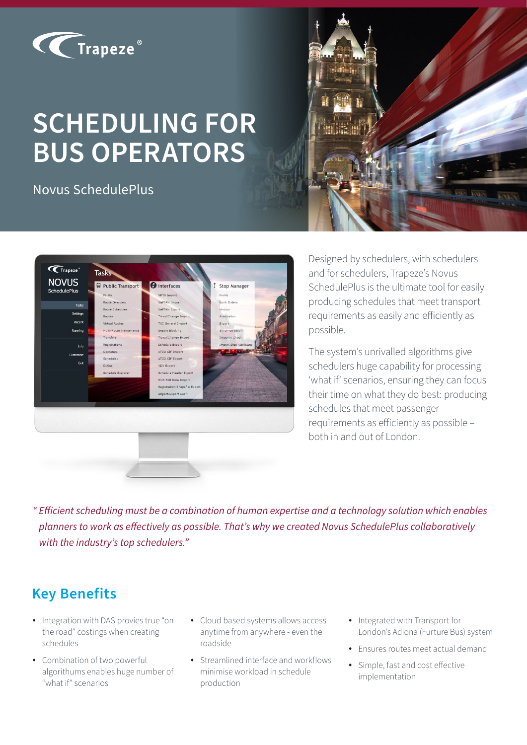

# **SCHEDULING FOR BUS OPERATORS**

Novus SchedulePlus





Designed by schedulers, with schedulers and for schedulers, Trapeze's Novus SchedulePlus is the ultimate tool for easily producing schedules that meet transport requirements as easily and efficiently as possible.

The system's unrivalled algorithms give schedulers huge capability for processing 'what if' scenarios, ensuring they can focus their time on what they do best: producing schedules that meet passenger requirements as efficiently as possible – both in and out of London.

*" Efficient scheduling must be a combination of human expertise and a technology solution which enables planners to work as effectively as possible. That's why we created Novus SchedulePlus collaboratively with the industry's top schedulers."*

# **Key Benefits**

- Integration with DAS provies true "on the road" costings when creating schedules
- Combination of two powerful algorithums enables huge number of "what if" scenarios
- Cloud based systems allows access anytime from anywhere - even the roadside
- Streamlined interface and workflows minimise workload in schedule production
- Integrated with Transport for London's Adiona (Furture Bus) system
- Ensures routes meet actual demand
- Simple, fast and cost effective implementation